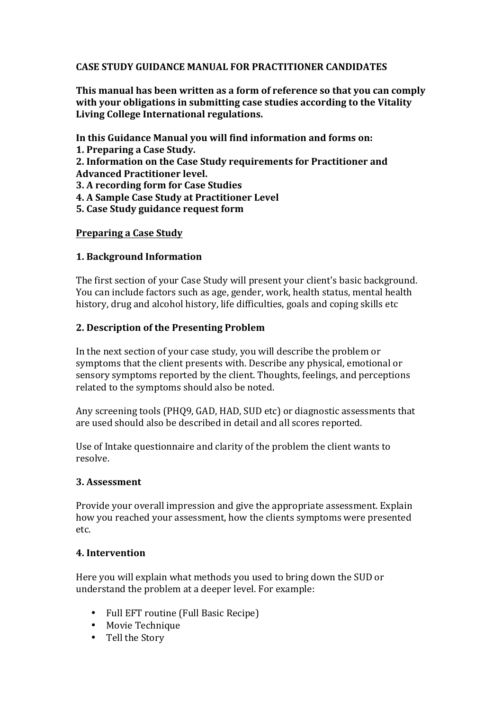## **CASE STUDY GUIDANCE MANUAL FOR PRACTITIONER CANDIDATES**

This manual has been written as a form of reference so that you can comply with your obligations in submitting case studies according to the Vitality Living College International regulations.

In this Guidance Manual you will find information and forms on:

- **1. Preparing a Case Study.**
- **2. Information on the Case Study requirements for Practitioner and** Advanced Practitioner level.
- **3. A recording form for Case Studies**
- **4. A Sample Case Study at Practitioner Level**
- **5. Case Study guidance request form**

### **Preparing a Case Study**

## **1. Background Information**

The first section of your Case Study will present your client's basic background. You can include factors such as age, gender, work, health status, mental health history, drug and alcohol history, life difficulties, goals and coping skills etc

## **2. Description of the Presenting Problem**

In the next section of your case study, you will describe the problem or symptoms that the client presents with. Describe any physical, emotional or sensory symptoms reported by the client. Thoughts, feelings, and perceptions related to the symptoms should also be noted.

Any screening tools (PHQ9, GAD, HAD, SUD etc) or diagnostic assessments that are used should also be described in detail and all scores reported.

Use of Intake questionnaire and clarity of the problem the client wants to resolve.

### **3. Assessment**

Provide your overall impression and give the appropriate assessment. Explain how you reached your assessment, how the clients symptoms were presented etc. 

# **4. Intervention**

Here you will explain what methods you used to bring down the SUD or understand the problem at a deeper level. For example:

- Full EFT routine (Full Basic Recipe)
- Movie Technique
- Tell the Story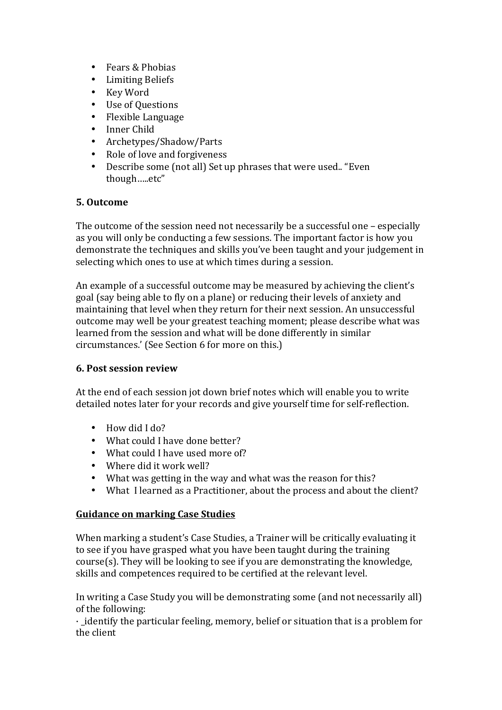- Fears & Phobias
- Limiting Beliefs
- Key Word
- Use of Questions
- Flexible Language
- Inner Child
- Archetypes/Shadow/Parts
- Role of love and forgiveness
- Describe some (not all) Set up phrases that were used.. "Even though…..etc"

# **5. Outcome**

The outcome of the session need not necessarily be a successful one – especially as you will only be conducting a few sessions. The important factor is how you demonstrate the techniques and skills you've been taught and your judgement in selecting which ones to use at which times during a session.

An example of a successful outcome may be measured by achieving the client's goal (say being able to fly on a plane) or reducing their levels of anxiety and maintaining that level when they return for their next session. An unsuccessful outcome may well be your greatest teaching moment; please describe what was learned from the session and what will be done differently in similar circumstances.' (See Section 6 for more on this.)

### **6. Post session review**

At the end of each session jot down brief notes which will enable you to write detailed notes later for your records and give yourself time for self-reflection.

- How did I do?
- What could I have done better?
- What could I have used more of?
- Where did it work well?
- What was getting in the way and what was the reason for this?
- What I learned as a Practitioner, about the process and about the client?

# **Guidance on marking Case Studies**

When marking a student's Case Studies, a Trainer will be critically evaluating it to see if you have grasped what you have been taught during the training  $course(s)$ . They will be looking to see if you are demonstrating the knowledge, skills and competences required to be certified at the relevant level.

In writing a Case Study you will be demonstrating some (and not necessarily all) of the following:

 $\cdot$  identify the particular feeling, memory, belief or situation that is a problem for the client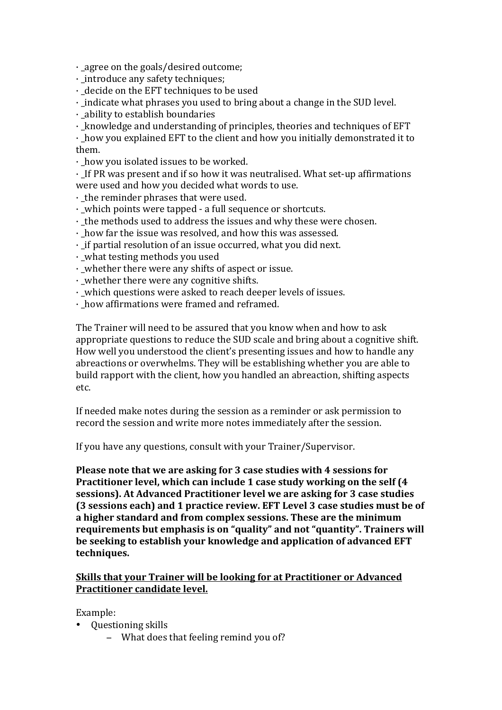$\cdot$  agree on the goals/desired outcome;

 $\cdot$  introduce any safety techniques;

 $\cdot$  decide on the EFT techniques to be used

· indicate what phrases you used to bring about a change in the SUD level.

 $\cdot$  ability to establish boundaries

 $\cdot$  knowledge and understanding of principles, theories and techniques of EFT

 $\cdot$  how you explained EFT to the client and how you initially demonstrated it to them. 

 $\cdot$  how you isolated issues to be worked.

 $\cdot$  If PR was present and if so how it was neutralised. What set-up affirmations were used and how you decided what words to use.

 $\cdot$  the reminder phrases that were used.

· which points were tapped - a full sequence or shortcuts.

 $\cdot$  the methods used to address the issues and why these were chosen.

 $\cdot$  how far the issue was resolved, and how this was assessed.

 $\cdot$  if partial resolution of an issue occurred, what you did next.

 $\cdot$  what testing methods you used

 $\cdot$  whether there were any shifts of aspect or issue.

 $\cdot$  whether there were any cognitive shifts.

• which questions were asked to reach deeper levels of issues.

• how affirmations were framed and reframed.

The Trainer will need to be assured that you know when and how to ask appropriate questions to reduce the SUD scale and bring about a cognitive shift. How well you understood the client's presenting issues and how to handle any abreactions or overwhelms. They will be establishing whether you are able to build rapport with the client, how you handled an abreaction, shifting aspects etc. 

If needed make notes during the session as a reminder or ask permission to record the session and write more notes immediately after the session.

If you have any questions, consult with your Trainer/Supervisor.

**Please note that we are asking for 3 case studies with 4 sessions for Practitioner level, which can include 1 case study working on the self (4) sessions).** At Advanced Practitioner level we are asking for 3 case studies **(3** sessions each) and 1 practice review. EFT Level 3 case studies must be of a higher standard and from complex sessions. These are the minimum requirements but emphasis is on "quality" and not "quantity". Trainers will be seeking to establish your knowledge and application of advanced EFT **techniques.** 

## **Skills that your Trainer will be looking for at Practitioner or Advanced Practitioner candidate level.**

Example: 

- Ouestioning skills
	- − What does that feeling remind you of?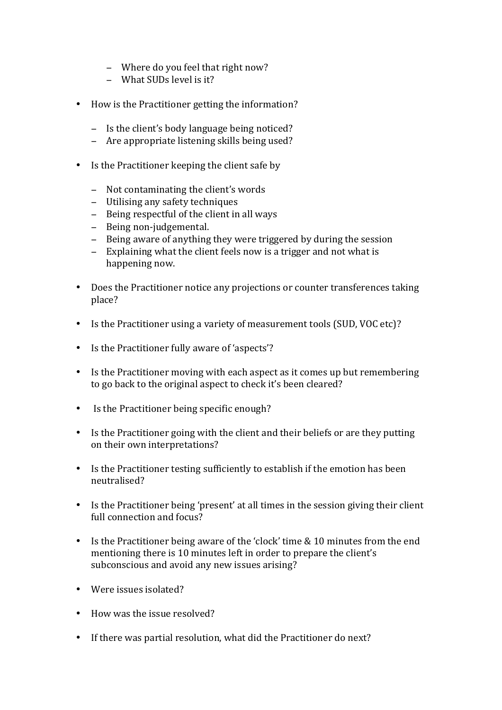- − Where do you feel that right now?
- − What SUDs level is it?
- How is the Practitioner getting the information?
	- − Is the client's body language being noticed?
	- − Are appropriate listening skills being used?
- $\bullet$  Is the Practitioner keeping the client safe by
	- − Not contaminating the client's words
	- − Utilising any safety techniques
	- − Being respectful of the client in all ways
	- − Being non-judgemental.
	- − Being aware of anything they were triggered by during the session
	- − Explaining what the client feels now is a trigger and not what is happening now.
- Does the Practitioner notice any projections or counter transferences taking place?
- Is the Practitioner using a variety of measurement tools (SUD, VOC etc)?
- Is the Practitioner fully aware of 'aspects'?
- Is the Practitioner moving with each aspect as it comes up but remembering to go back to the original aspect to check it's been cleared?
- Is the Practitioner being specific enough?
- Is the Practitioner going with the client and their beliefs or are they putting on their own interpretations?
- Is the Practitioner testing sufficiently to establish if the emotion has been neutralised?
- Is the Practitioner being 'present' at all times in the session giving their client full connection and focus?
- Is the Practitioner being aware of the 'clock' time & 10 minutes from the end mentioning there is 10 minutes left in order to prepare the client's subconscious and avoid any new issues arising?
- Were issues isolated?
- How was the issue resolved?
- If there was partial resolution, what did the Practitioner do next?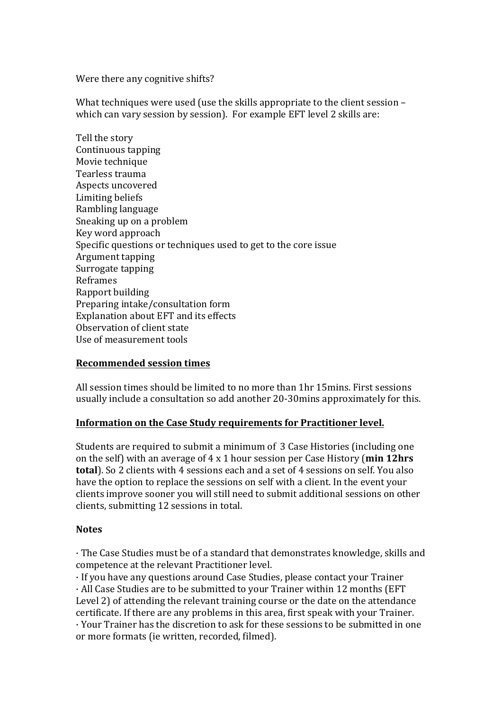Were there any cognitive shifts?

What techniques were used (use the skills appropriate to the client session  $$ which can vary session by session). For example EFT level 2 skills are:

Tell the story Continuous tapping Movie technique Tearless trauma Aspects uncovered Limiting beliefs Rambling language Sneaking up on a problem Key word approach Specific questions or techniques used to get to the core issue Argument tapping Surrogate tapping Reframes Rapport building Preparing intake/consultation form Explanation about EFT and its effects Observation of client state Use of measurement tools

### **Recommended session times**

All session times should be limited to no more than 1hr 15mins. First sessions usually include a consultation so add another 20-30mins approximately for this.

### **Information on the Case Study requirements for Practitioner level.**

Students are required to submit a minimum of 3 Case Histories (including one on the self) with an average of 4 x 1 hour session per Case History (**min 12hrs**) **total**). So 2 clients with 4 sessions each and a set of 4 sessions on self. You also have the option to replace the sessions on self with a client. In the event your clients improve sooner vou will still need to submit additional sessions on other clients, submitting 12 sessions in total.

#### **Notes**

 $\cdot$  The Case Studies must be of a standard that demonstrates knowledge, skills and competence at the relevant Practitioner level.

· If you have any questions around Case Studies, please contact your Trainer  $\cdot$  All Case Studies are to be submitted to your Trainer within 12 months (EFT) Level 2) of attending the relevant training course or the date on the attendance certificate. If there are any problems in this area, first speak with your Trainer.

 $\cdot$  Your Trainer has the discretion to ask for these sessions to be submitted in one or more formats (ie written, recorded, filmed).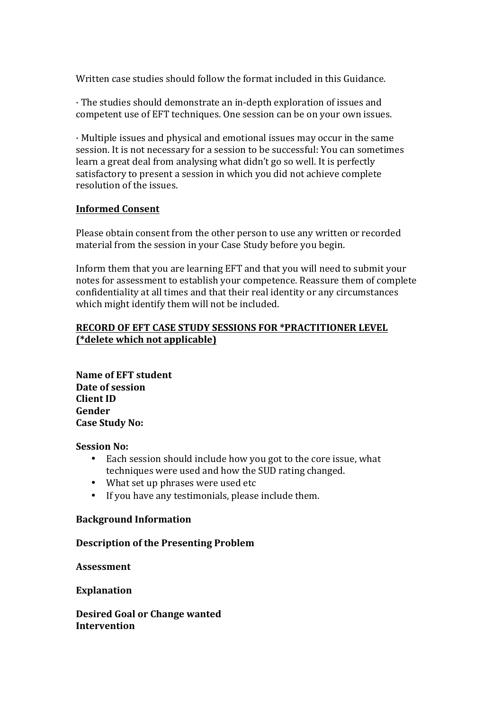Written case studies should follow the format included in this Guidance.

· The studies should demonstrate an in-depth exploration of issues and competent use of EFT techniques. One session can be on your own issues.

 $\cdot$  Multiple issues and physical and emotional issues may occur in the same session. It is not necessary for a session to be successful: You can sometimes learn a great deal from analysing what didn't go so well. It is perfectly satisfactory to present a session in which you did not achieve complete resolution of the issues.

### **Informed Consent**

Please obtain consent from the other person to use any written or recorded material from the session in your Case Study before you begin.

Inform them that you are learning EFT and that you will need to submit your notes for assessment to establish your competence. Reassure them of complete confidentiality at all times and that their real identity or any circumstances which might identify them will not be included.

### **RECORD OF EFT CASE STUDY SESSIONS FOR \*PRACTITIONER LEVEL (\*delete which not applicable)**

**Name of EFT student** Date of session **Client ID Gender Case Study No:** 

**Session No:** 

- Each session should include how you got to the core issue, what techniques were used and how the SUD rating changed.
- What set up phrases were used etc
- If you have any testimonials, please include them.

### **Background Information**

### **Description of the Presenting Problem**

**Assessment** 

**Explanation** 

**Desired Goal or Change wanted Intervention**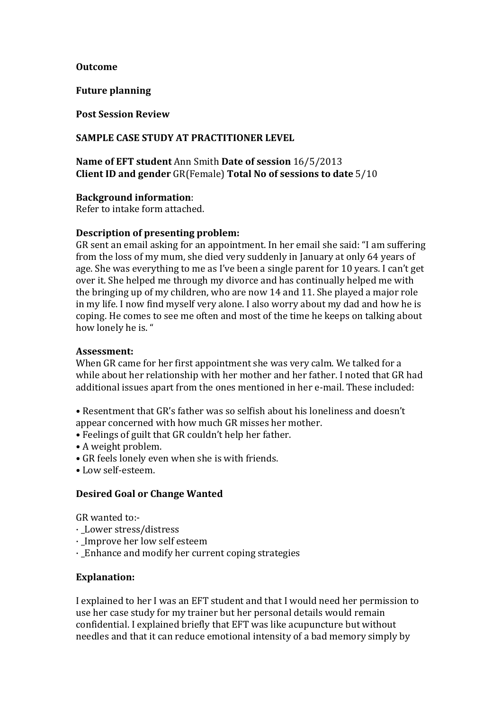#### **Outcome**

**Future planning** 

**Post Session Review** 

#### **SAMPLE CASE STUDY AT PRACTITIONER LEVEL**

**Name of EFT student** Ann Smith Date of session  $16/5/2013$ **Client ID and gender** GR(Female) **Total No of sessions to date**  $5/10$ 

#### **Background information:**

Refer to intake form attached.

#### **Description of presenting problem:**

GR sent an email asking for an appointment. In her email she said: "I am suffering from the loss of my mum, she died very suddenly in January at only 64 years of age. She was everything to me as I've been a single parent for 10 years. I can't get over it. She helped me through my divorce and has continually helped me with the bringing up of my children, who are now 14 and 11. She played a major role in my life. I now find myself very alone. I also worry about my dad and how he is coping. He comes to see me often and most of the time he keeps on talking about how lonely he is. "

#### **Assessment:**

When GR came for her first appointment she was very calm. We talked for a while about her relationship with her mother and her father. I noted that GR had additional issues apart from the ones mentioned in her e-mail. These included:

- Resentment that GR's father was so selfish about his loneliness and doesn't appear concerned with how much GR misses her mother.
- Feelings of guilt that GR couldn't help her father.
- A weight problem.
- GR feels lonely even when she is with friends.
- • Low self-esteem.

### **Desired Goal or Change Wanted**

GR wanted to:-

- · \_Lower stress/distress
- Improve her low self esteem
- $\cdot$  Enhance and modify her current coping strategies

### **Explanation:**

I explained to her I was an EFT student and that I would need her permission to use her case study for my trainer but her personal details would remain confidential. I explained briefly that EFT was like acupuncture but without needles and that it can reduce emotional intensity of a bad memory simply by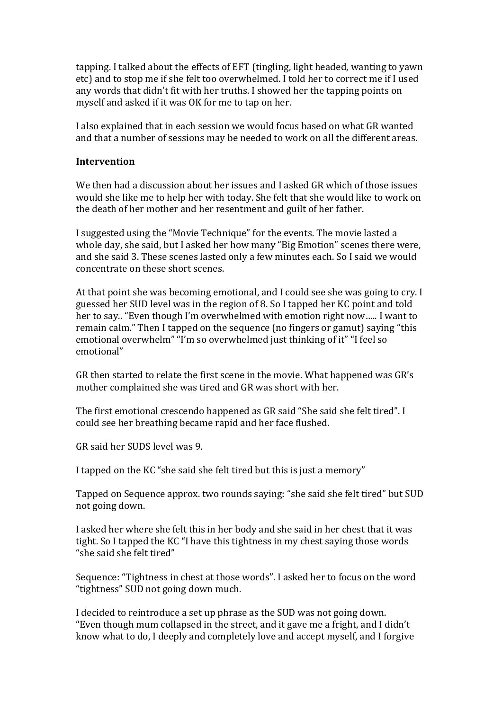tapping. I talked about the effects of EFT (tingling, light headed, wanting to yawn etc) and to stop me if she felt too overwhelmed. I told her to correct me if I used any words that didn't fit with her truths. I showed her the tapping points on myself and asked if it was OK for me to tap on her.

I also explained that in each session we would focus based on what GR wanted and that a number of sessions may be needed to work on all the different areas.

#### **Intervention**

We then had a discussion about her issues and I asked GR which of those issues would she like me to help her with today. She felt that she would like to work on the death of her mother and her resentment and guilt of her father.

I suggested using the "Movie Technique" for the events. The movie lasted a whole day, she said, but I asked her how many "Big Emotion" scenes there were, and she said 3. These scenes lasted only a few minutes each. So I said we would concentrate on these short scenes.

At that point she was becoming emotional, and I could see she was going to cry. I guessed her SUD level was in the region of 8. So I tapped her KC point and told her to say.. "Even though I'm overwhelmed with emotion right now..... I want to remain calm." Then I tapped on the sequence (no fingers or gamut) saying "this emotional overwhelm" "I'm so overwhelmed just thinking of it" "I feel so emotional" 

GR then started to relate the first scene in the movie. What happened was GR's mother complained she was tired and GR was short with her.

The first emotional crescendo happened as GR said "She said she felt tired". I could see her breathing became rapid and her face flushed.

GR said her SUDS level was 9.

I tapped on the KC "she said she felt tired but this is just a memory"

Tapped on Sequence approx, two rounds saying: "she said she felt tired" but SUD not going down.

I asked her where she felt this in her body and she said in her chest that it was tight. So I tapped the KC "I have this tightness in my chest saying those words "she said she felt tired"

Sequence: "Tightness in chest at those words". I asked her to focus on the word "tightness" SUD not going down much.

I decided to reintroduce a set up phrase as the SUD was not going down. "Even though mum collapsed in the street, and it gave me a fright, and I didn't know what to do, I deeply and completely love and accept myself, and I forgive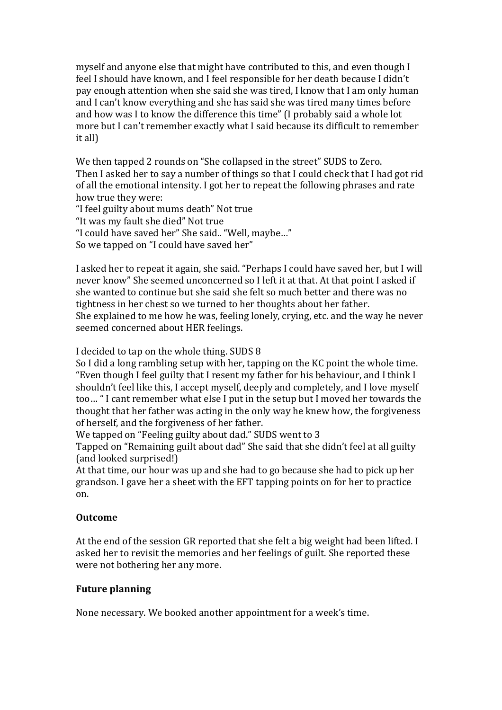myself and anyone else that might have contributed to this, and even though I feel I should have known, and I feel responsible for her death because I didn't pay enough attention when she said she was tired, I know that I am only human and I can't know everything and she has said she was tired many times before and how was I to know the difference this time" (I probably said a whole lot more but I can't remember exactly what I said because its difficult to remember it all)

We then tapped 2 rounds on "She collapsed in the street" SUDS to Zero. Then I asked her to say a number of things so that I could check that I had got rid of all the emotional intensity. I got her to repeat the following phrases and rate how true they were:

"I feel guilty about mums death" Not true "It was my fault she died" Not true "I could have saved her" She said.. "Well, maybe..." So we tapped on "I could have saved her"

I asked her to repeat it again, she said. "Perhaps I could have saved her, but I will never know" She seemed unconcerned so I left it at that. At that point I asked if she wanted to continue but she said she felt so much better and there was no tightness in her chest so we turned to her thoughts about her father. She explained to me how he was, feeling lonely, crying, etc. and the way he never seemed concerned about HER feelings.

I decided to tap on the whole thing. SUDS 8

So I did a long rambling setup with her, tapping on the KC point the whole time. "Even though I feel guilty that I resent my father for his behaviour, and I think I shouldn't feel like this, I accept myself, deeply and completely, and I love myself too... "I cant remember what else I put in the setup but I moved her towards the thought that her father was acting in the only way he knew how, the forgiveness of herself, and the forgiveness of her father.

We tapped on "Feeling guilty about dad." SUDS went to 3

Tapped on "Remaining guilt about dad" She said that she didn't feel at all guilty (and looked surprised!)

At that time, our hour was up and she had to go because she had to pick up her grandson. I gave her a sheet with the EFT tapping points on for her to practice on. 

# **Outcome**

At the end of the session GR reported that she felt a big weight had been lifted. I asked her to revisit the memories and her feelings of guilt. She reported these were not bothering her any more.

# **Future planning**

None necessary. We booked another appointment for a week's time.